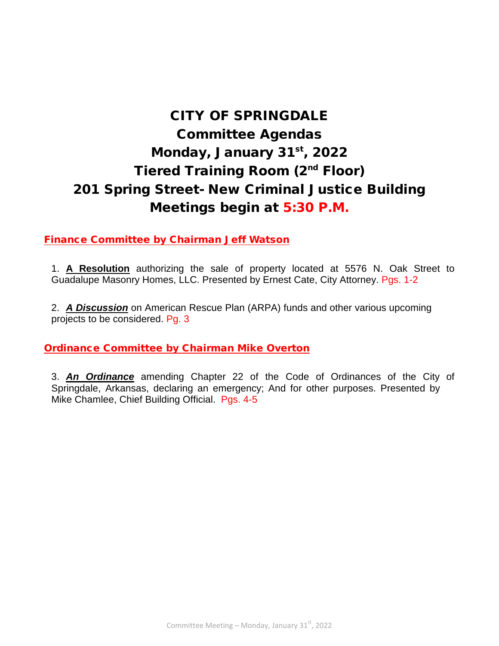# CITY OF SPRINGDALE Committee Agendas Monday, January 31st, 2022 Tiered Training Room (2<sup>nd</sup> Floor) 201 Spring Street- New Criminal Justice Building Meetings begin at 5:30 P.M.

Finance Committee by Chairman Jeff Watson

1. **A Resolution** authorizing the sale of property located at 5576 N. Oak Street to Guadalupe Masonry Homes, LLC. Presented by Ernest Cate, City Attorney. Pgs. 1-2

2. *A Discussion* on American Rescue Plan (ARPA) funds and other various upcoming projects to be considered. Pg. 3

## Ordinance Committee by Chairman Mike Overton

 Mike Chamlee, Chief Building Official. Pgs. 4-53. *An Ordinance* amending Chapter 22 of the Code of Ordinances of the City of Springdale, Arkansas, declaring an emergency; And for other purposes. Presented by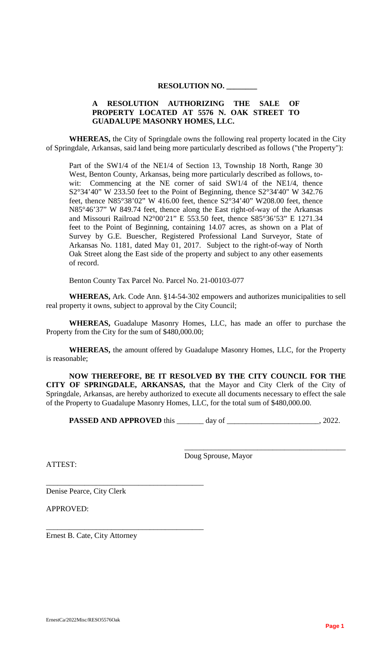#### **RESOLUTION NO. \_\_\_\_\_\_\_\_**

## **A RESOLUTION AUTHORIZING THE SALE OF PROPERTY LOCATED AT 5576 N. OAK STREET TO GUADALUPE MASONRY HOMES, LLC.**

**WHEREAS,** the City of Springdale owns the following real property located in the City of Springdale, Arkansas, said land being more particularly described as follows ("the Property"):

Part of the SW1/4 of the NE1/4 of Section 13, Township 18 North, Range 30 West, Benton County, Arkansas, being more particularly described as follows, towit: Commencing at the NE corner of said SW1/4 of the NE1/4, thence  $S2^{\circ}34'40''$  W 233.50 feet to the Point of Beginning, thence  $S2^{\circ}34'40''$  W 342.76 feet, thence N85°38'02" W 416.00 feet, thence  $S2^{\circ}34'40''$  W208.00 feet, thence N85°46'37" W 849.74 feet, thence along the East right-of-way of the Arkansas and Missouri Railroad N2°00'21" E 553.50 feet, thence S85°36'53" E 1271.34 feet to the Point of Beginning, containing 14.07 acres, as shown on a Plat of Survey by G.E. Buescher, Registered Professional Land Surveyor, State of Arkansas No. 1181, dated May 01, 2017. Subject to the right-of-way of North Oak Street along the East side of the property and subject to any other easements of record.

Benton County Tax Parcel No. Parcel No. 21-00103-077

**WHEREAS,** Ark. Code Ann. §14-54-302 empowers and authorizes municipalities to sell real property it owns, subject to approval by the City Council;

**WHEREAS,** Guadalupe Masonry Homes, LLC, has made an offer to purchase the Property from the City for the sum of \$480,000.00;

**WHEREAS,** the amount offered by Guadalupe Masonry Homes, LLC, for the Property is reasonable;

**NOW THEREFORE, BE IT RESOLVED BY THE CITY COUNCIL FOR THE CITY OF SPRINGDALE, ARKANSAS,** that the Mayor and City Clerk of the City of Springdale, Arkansas, are hereby authorized to execute all documents necessary to effect the sale of the Property to Guadalupe Masonry Homes, LLC, for the total sum of \$480,000.00.

**PASSED AND APPROVED** this \_\_\_\_\_\_ day of \_\_\_\_\_\_\_\_\_\_\_\_\_\_\_\_\_\_\_\_\_\_\_, 2022.

ATTEST:

Doug Sprouse, Mayor

\_\_\_\_\_\_\_\_\_\_\_\_\_\_\_\_\_\_\_\_\_\_\_\_\_\_\_\_\_\_\_\_\_\_\_\_\_\_\_\_\_\_

Denise Pearce, City Clerk

\_\_\_\_\_\_\_\_\_\_\_\_\_\_\_\_\_\_\_\_\_\_\_\_\_\_\_\_\_\_\_\_\_\_\_\_\_\_\_\_\_

\_\_\_\_\_\_\_\_\_\_\_\_\_\_\_\_\_\_\_\_\_\_\_\_\_\_\_\_\_\_\_\_\_\_\_\_\_\_\_\_\_

APPROVED:

Ernest B. Cate, City Attorney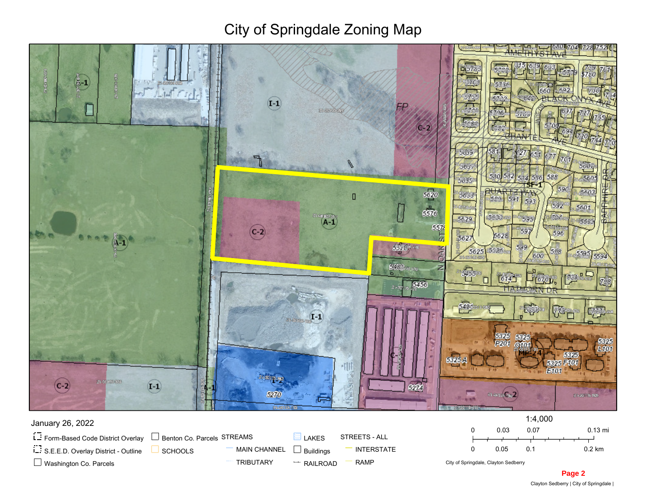## City of Springdale Zoning Map



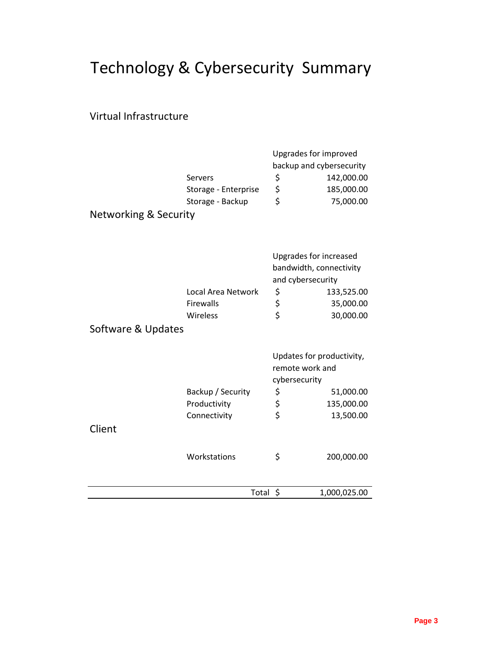# Technology & Cybersecurity Summary

## Virtual Infrastructure

|                                  |                      | Upgrades for improved                        |                          |
|----------------------------------|----------------------|----------------------------------------------|--------------------------|
|                                  |                      |                                              | backup and cybersecurity |
|                                  | Servers              | \$                                           | 142,000.00               |
|                                  | Storage - Enterprise | \$                                           | 185,000.00               |
|                                  | Storage - Backup     | \$                                           | 75,000.00                |
| <b>Networking &amp; Security</b> |                      |                                              |                          |
|                                  |                      |                                              |                          |
|                                  |                      |                                              | Upgrades for increased   |
|                                  |                      | bandwidth, connectivity<br>and cybersecurity |                          |
|                                  |                      |                                              |                          |
|                                  | Local Area Network   | \$                                           | 133,525.00               |
|                                  | <b>Firewalls</b>     |                                              | 35,000.00                |
|                                  | Wireless             | \$<br>\$                                     | 30,000.00                |
| Software & Updates               |                      |                                              |                          |
|                                  |                      |                                              |                          |
|                                  |                      | Updates for productivity,                    |                          |
|                                  |                      | remote work and                              |                          |
|                                  |                      | cybersecurity                                |                          |
|                                  | Backup / Security    | \$                                           | 51,000.00                |
|                                  | Productivity         | \$                                           | 135,000.00               |
|                                  | Connectivity         | \$                                           | 13,500.00                |
| Client                           |                      |                                              |                          |
|                                  |                      |                                              |                          |
|                                  | Workstations         | \$                                           | 200,000.00               |
|                                  |                      |                                              |                          |
|                                  | Total                | \$                                           | 1,000,025.00             |
|                                  |                      |                                              |                          |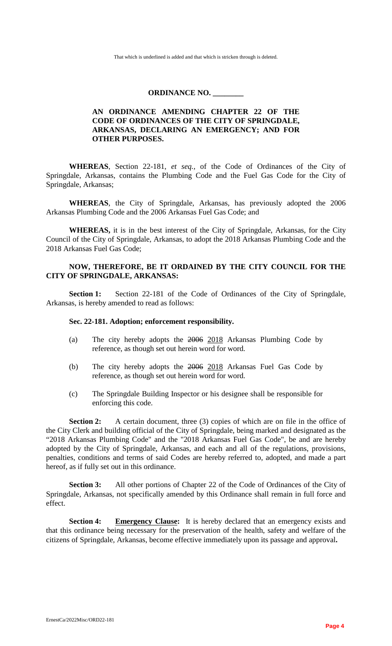That which is underlined is added and that which is stricken through is deleted.

## **ORDINANCE NO. \_\_\_\_\_\_\_\_**

## **AN ORDINANCE AMENDING CHAPTER 22 OF THE CODE OF ORDINANCES OF THE CITY OF SPRINGDALE, ARKANSAS, DECLARING AN EMERGENCY; AND FOR OTHER PURPOSES.**

**WHEREAS**, Section 22-181, *et seq.,* of the Code of Ordinances of the City of Springdale, Arkansas, contains the Plumbing Code and the Fuel Gas Code for the City of Springdale, Arkansas;

**WHEREAS**, the City of Springdale, Arkansas, has previously adopted the 2006 Arkansas Plumbing Code and the 2006 Arkansas Fuel Gas Code; and

**WHEREAS,** it is in the best interest of the City of Springdale, Arkansas, for the City Council of the City of Springdale, Arkansas, to adopt the 2018 Arkansas Plumbing Code and the 2018 Arkansas Fuel Gas Code;

## **NOW, THEREFORE, BE IT ORDAINED BY THE CITY COUNCIL FOR THE CITY OF SPRINGDALE, ARKANSAS:**

Section 1: Section 22-181 of the Code of Ordinances of the City of Springdale, Arkansas, is hereby amended to read as follows:

## **Sec. 22-181. Adoption; enforcement responsibility.**

- (a) The city hereby adopts the 2006 2018 Arkansas Plumbing Code by reference, as though set out herein word for word.
- (b) The city hereby adopts the 2006 2018 Arkansas Fuel Gas Code by reference, as though set out herein word for word.
- (c) The Springdale Building Inspector or his designee shall be responsible for enforcing this code.

**Section 2:** A certain document, three (3) copies of which are on file in the office of the City Clerk and building official of the City of Springdale, being marked and designated as the "2018 Arkansas Plumbing Code" and the "2018 Arkansas Fuel Gas Code", be and are hereby adopted by the City of Springdale, Arkansas, and each and all of the regulations, provisions, penalties, conditions and terms of said Codes are hereby referred to, adopted, and made a part hereof, as if fully set out in this ordinance.

**Section 3:** All other portions of Chapter 22 of the Code of Ordinances of the City of Springdale, Arkansas, not specifically amended by this Ordinance shall remain in full force and effect.

**Section 4: Emergency Clause:** It is hereby declared that an emergency exists and that this ordinance being necessary for the preservation of the health, safety and welfare of the citizens of Springdale, Arkansas, become effective immediately upon its passage and approval**.**